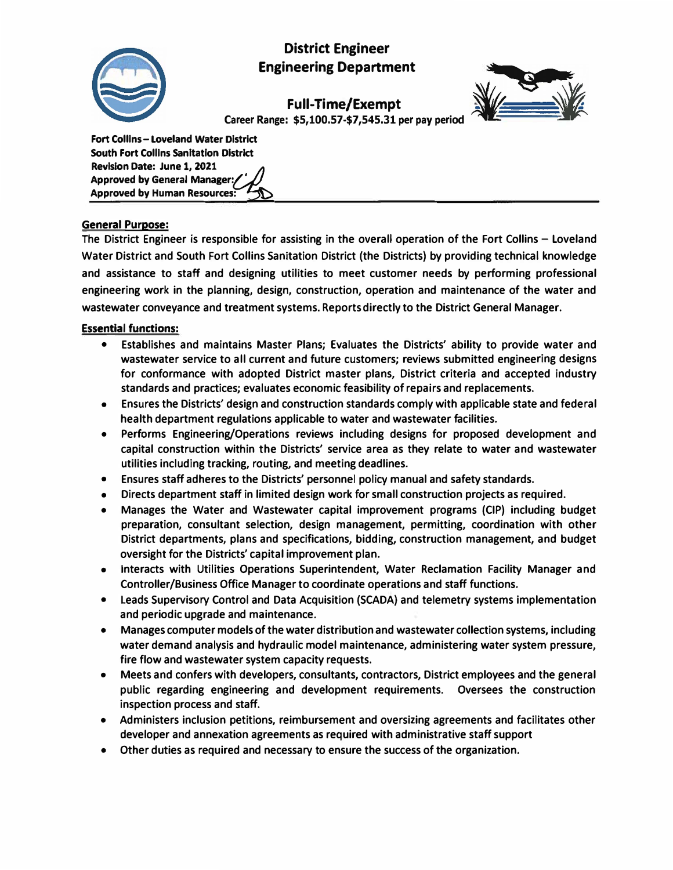

# **District Engineer Engineering Department**

**Full-Time/Exempt**



**Career Range: \$5,100.57-\$7,545.31 per pay period**

| Fort Collins - Loveland Water District        |
|-----------------------------------------------|
| <b>South Fort Collins Sanitation District</b> |
| Revision Date: June 1, 2021                   |
|                                               |
| Approved by General Manager:                  |

# **General Purpose:**

**The District Engineer is responsible for assisting in the overall operation of the Fort Collins - Loveland Water District and South Fort Collins Sanitation District (the Districts) by providing technical knowledge and assistance to staff and designing utilities to meet customer needs by performing professional engineering work in the planning, design, construction, operation and maintenance of the water and wastewater conveyance and treatment systems. Reports directly to the District General Manager.** 

### **Essential functions:**

- **• Establishes and maintains Master Plans; Evaluates the Districts' ability to provide water and wastewater service to all current and future customers; reviews submitted engineering designs for conformance with adopted District master plans, District criteria and accepted industry standards and practices; evaluates economic feasibility of repairs and replacements.**
- **• Ensures the Districts' design and construction standards comply with applicable state and federal health department regulations applicable to water and wastewater facilities.**
- **• Performs Engineering/Operations reviews including designs for proposed development and capital construction within the Districts' service area as they relate to water and wastewater utilities including tracking, routing, and meeting deadlines.**
- **• Ensures staff adheres to the Districts' personnel policy manual and safety standards.**
- **• Directs department staff in limited design work for small construction projects as required.**
- **• Manages the Water and Wastewater capital improvement programs (CIP) including budget preparation, consultant selection, design management, permitting, coordination with other District departments, plans and specifications, bidding, construction management, and budget oversight for the Districts' capital improvement plan.**
- **• Interacts with Utilities Operations Superintendent, Water Reclamation Facility Manager and Controller/Business Office Manager to coordinate operations and staff functions.**
- **• Leads Supervisory Control and Data Acquisition (SCADA} and telemetry systems implementation and periodic upgrade and maintenance.**
- **• Manages computer models of the water distribution and wastewater collection systems, including water demand analysis and hydraulic model maintenance, administering water system pressure, fire flow and wastewater system capacity requests.**
- **• Meets and confers with developers, consultants, contractors, District employees and the general public regarding engineering and development requirements. Oversees the construction inspection process and staff.**
- **• Administers inclusion petitions, reimbursement and oversizing agreements and facilitates other developer and annexation agreements as required with administrative staff support**
- **• Other duties as required and necessary to ensure the success of the organization.**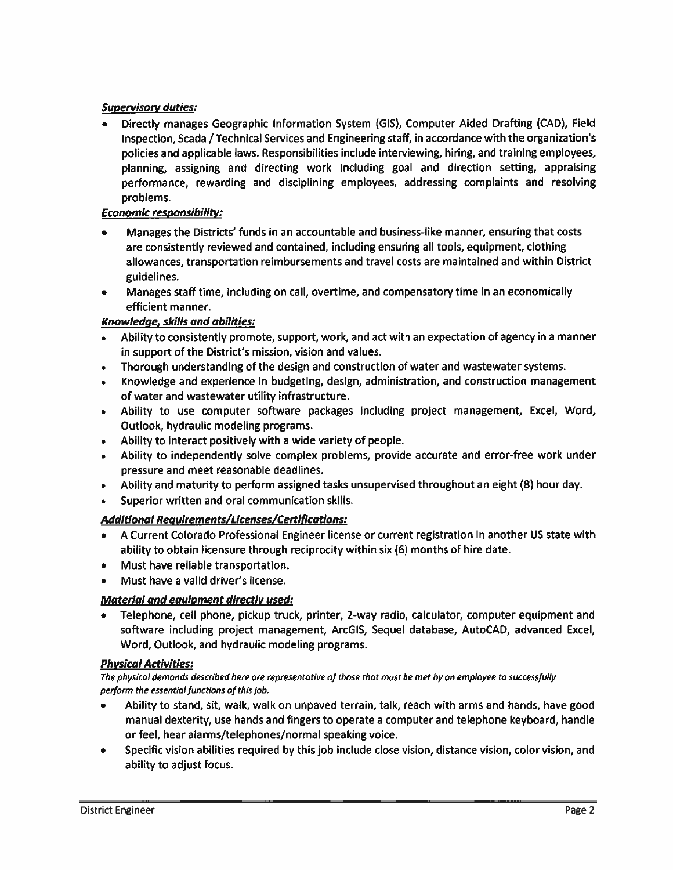# **Supervisory duties:**

Directly manages Geographic Information System (GIS), Computer Aided Drafting (CAD), Field Inspection, Scada / Technical Services and Engineering staff, in accordance with the organization's policies and applicable laws. Responsibilities include interviewing, hiring, and training employees, planning, assigning and directing work including goal and direction setting, appraising performance, rewarding and disciplining employees, addressing complaints and resolving problems.

# **Economic responsibility:**

- Manages the Districts' funds in an accountable and business-like manner, ensuring that costs are consistently reviewed and contained, including ensuring all tools, equipment, clothing allowances, transportation reimbursements and travel costs are maintained and within District guidelines.
- Manages staff time, including on call, overtime, and compensatory time in an economically  $\bullet$ efficient manner.

# **Knowledge, skills and abilities:**

- Ability to consistently promote, support, work, and act with an expectation of agency in a manner in support of the District's mission, vision and values.
- Thorough understanding of the design and construction of water and wastewater systems.
- Knowledge and experience in budgeting, design, administration, and construction management of water and wastewater utility infrastructure.
- Ability to use computer software packages including project management, Excel, Word, Outlook, hydraulic modeling programs.
- Ability to interact positively with a wide variety of people.
- Ability to independently solve complex problems, provide accurate and error-free work under pressure and meet reasonable deadlines.
- Ability and maturity to perform assigned tasks unsupervised throughout an eight (8) hour day.
- Superior written and oral communication skills.

# Additional Requirements/Licenses/Certifications:

- A Current Colorado Professional Engineer license or current registration in another US state with ability to obtain licensure through reciprocity within six (6) months of hire date.
- Must have reliable transportation.
- Must have a valid driver's license.

### Material and equipment directly used:

• Telephone, cell phone, pickup truck, printer, 2-way radio, calculator, computer equipment and software including project management, ArcGIS, Sequel database, AutoCAD, advanced Excel, Word, Outlook, and hydraulic modeling programs.

### **Physical Activities:**

The physical demands described here are representative of those that must be met by an employee to successfully perform the essential functions of this job.

- Ability to stand, sit, walk, walk on unpaved terrain, talk, reach with arms and hands, have good manual dexterity, use hands and fingers to operate a computer and telephone keyboard, handle or feel, hear alarms/telephones/normal speaking voice.
- Specific vision abilities required by this job include close vision, distance vision, color vision, and  $\bullet$ ability to adjust focus.